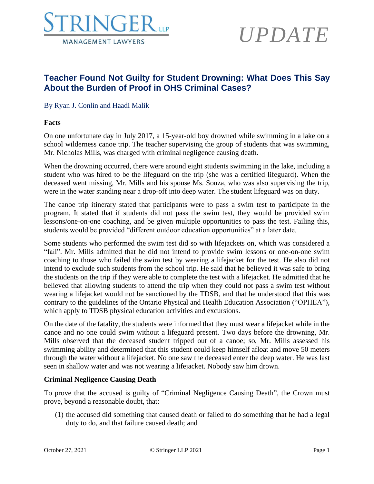

## *UPDATE*

### **Teacher Found Not Guilty for Student Drowning: What Does This Say About the Burden of Proof in OHS Criminal Cases?**

#### By Ryan J. Conlin and Haadi Malik

#### **Facts**

On one unfortunate day in July 2017, a 15-year-old boy drowned while swimming in a lake on a school wilderness canoe trip. The teacher supervising the group of students that was swimming, Mr. Nicholas Mills, was charged with criminal negligence causing death.

When the drowning occurred, there were around eight students swimming in the lake, including a student who was hired to be the lifeguard on the trip (she was a certified lifeguard). When the deceased went missing, Mr. Mills and his spouse Ms. Souza, who was also supervising the trip, were in the water standing near a drop-off into deep water. The student lifeguard was on duty.

The canoe trip itinerary stated that participants were to pass a swim test to participate in the program. It stated that if students did not pass the swim test, they would be provided swim lessons/one-on-one coaching, and be given multiple opportunities to pass the test. Failing this, students would be provided "different outdoor education opportunities" at a later date.

Some students who performed the swim test did so with lifejackets on, which was considered a "fail". Mr. Mills admitted that he did not intend to provide swim lessons or one-on-one swim coaching to those who failed the swim test by wearing a lifejacket for the test. He also did not intend to exclude such students from the school trip. He said that he believed it was safe to bring the students on the trip if they were able to complete the test with a lifejacket. He admitted that he believed that allowing students to attend the trip when they could not pass a swim test without wearing a lifejacket would not be sanctioned by the TDSB, and that he understood that this was contrary to the guidelines of the Ontario Physical and Health Education Association ("OPHEA"), which apply to TDSB physical education activities and excursions.

On the date of the fatality, the students were informed that they must wear a lifejacket while in the canoe and no one could swim without a lifeguard present. Two days before the drowning, Mr. Mills observed that the deceased student tripped out of a canoe; so, Mr. Mills assessed his swimming ability and determined that this student could keep himself afloat and move 50 meters through the water without a lifejacket. No one saw the deceased enter the deep water. He was last seen in shallow water and was not wearing a lifejacket. Nobody saw him drown.

#### **Criminal Negligence Causing Death**

To prove that the accused is guilty of "Criminal Negligence Causing Death", the Crown must prove, beyond a reasonable doubt, that:

(1) the accused did something that caused death or failed to do something that he had a legal duty to do, and that failure caused death; and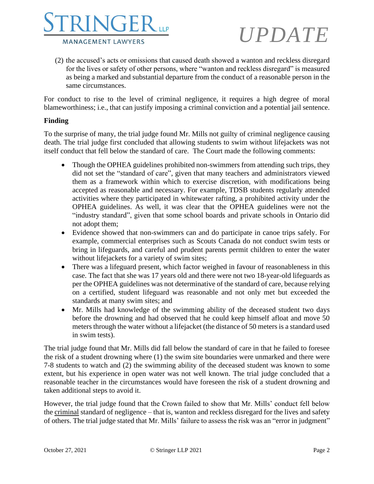

# *UPDATE*

(2) the accused's acts or omissions that caused death showed a wanton and reckless disregard for the lives or safety of other persons, where "wanton and reckless disregard" is measured as being a marked and substantial departure from the conduct of a reasonable person in the same circumstances.

For conduct to rise to the level of criminal negligence, it requires a high degree of moral blameworthiness; i.e., that can justify imposing a criminal conviction and a potential jail sentence.

#### **Finding**

To the surprise of many, the trial judge found Mr. Mills not guilty of criminal negligence causing death. The trial judge first concluded that allowing students to swim without lifejackets was not itself conduct that fell below the standard of care. The Court made the following comments:

- Though the OPHEA guidelines prohibited non-swimmers from attending such trips, they did not set the "standard of care", given that many teachers and administrators viewed them as a framework within which to exercise discretion, with modifications being accepted as reasonable and necessary. For example, TDSB students regularly attended activities where they participated in whitewater rafting, a prohibited activity under the OPHEA guidelines. As well, it was clear that the OPHEA guidelines were not the "industry standard", given that some school boards and private schools in Ontario did not adopt them;
- Evidence showed that non-swimmers can and do participate in canoe trips safely. For example, commercial enterprises such as Scouts Canada do not conduct swim tests or bring in lifeguards, and careful and prudent parents permit children to enter the water without lifejackets for a variety of swim sites;
- There was a lifeguard present, which factor weighed in favour of reasonableness in this case. The fact that she was 17 years old and there were not two 18-year-old lifeguards as per the OPHEA guidelines was not determinative of the standard of care, because relying on a certified, student lifeguard was reasonable and not only met but exceeded the standards at many swim sites; and
- Mr. Mills had knowledge of the swimming ability of the deceased student two days before the drowning and had observed that he could keep himself afloat and move 50 meters through the water without a lifejacket (the distance of 50 meters is a standard used in swim tests).

The trial judge found that Mr. Mills did fall below the standard of care in that he failed to foresee the risk of a student drowning where (1) the swim site boundaries were unmarked and there were 7-8 students to watch and (2) the swimming ability of the deceased student was known to some extent, but his experience in open water was not well known. The trial judge concluded that a reasonable teacher in the circumstances would have foreseen the risk of a student drowning and taken additional steps to avoid it.

However, the trial judge found that the Crown failed to show that Mr. Mills' conduct fell below the criminal standard of negligence – that is, wanton and reckless disregard for the lives and safety of others. The trial judge stated that Mr. Mills' failure to assess the risk was an "error in judgment"